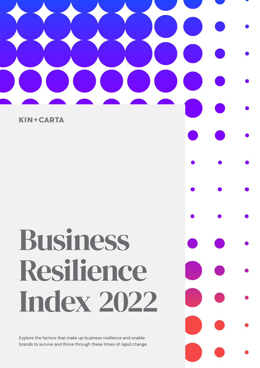# $\overline{\phantom{a}}$  $\overline{\phantom{a}}$

**KIN+CARTA** 

# Business Resilience Index 2022

Explore the factors that make up business resilience and enable brands to survive and thrive through these times of rapid change.

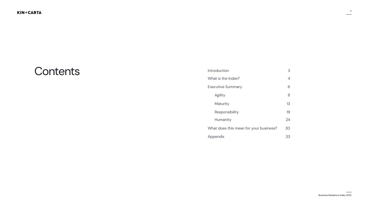2

| Introduction                           |    |  |  |  |  |  |  |  |
|----------------------------------------|----|--|--|--|--|--|--|--|
| What is the Index?                     |    |  |  |  |  |  |  |  |
| <b>Executive Summary</b>               | 6  |  |  |  |  |  |  |  |
| <b>Agility</b>                         | 8  |  |  |  |  |  |  |  |
| Maturity                               | 13 |  |  |  |  |  |  |  |
| Responsibility                         | 19 |  |  |  |  |  |  |  |
| Humanity                               | 24 |  |  |  |  |  |  |  |
| What does this mean for your business? | 30 |  |  |  |  |  |  |  |
| Appendix                               |    |  |  |  |  |  |  |  |



### Contents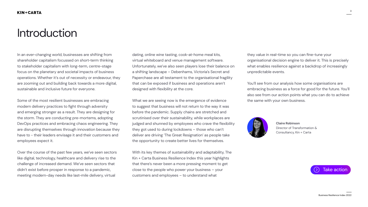



### <span id="page-2-0"></span>Introduction



**Claire Robinson** Director of Transformation & Consultancy, Kin + Carta



In an ever-changing world, businesses are shifting from shareholder capitalism focussed on short-term thinking to stakeholder capitalism with long-term, centre-stage focus on the planetary and societal impacts of business operations. Whether it's out of necessity or endeavour, they are zooming out and building back towards a more digital, sustainable and inclusive future for everyone.

Some of the most resilient businesses are embracing modern delivery practices to fight through adversity and emerging stronger as a result. They are designing for the storm. They are conducting pre-mortems, adopting DevOps practices and embracing chaos engineering. They are disrupting themselves through innovation because they have to - their leaders envisage it and their customers and employees expect it.

Over the course of the past few years, we've seen sectors like digital, technology, healthcare and delivery rise to the challenge of increased demand. We've seen sectors that didn't exist before prosper in response to a pandemic, meeting modern-day needs like last-mile delivery, virtual

dating, online wine tasting, cook-at-home meal kits, virtual whiteboard and venue management software. Unfortunately, we've also seen players lose their balance on a shifting landscape – Debenhams, Victoria's Secret and Paperchase are all testament to the organisational fragility that can be exposed if business and operations aren't designed with flexibility at the core.

What we are seeing now is the emergence of evidence to suggest that business will not return to the way it was before the pandemic. Supply chains are stretched and scrutinised over their sustainability, while workplaces are judged and shunned by employees who crave the flexibility they got used to during lockdowns – those who can't deliver are driving 'The Great Resignation' as people take the opportunity to create better lives for themselves.

With its key themes of sustainability and adaptability, The Kin + Carta Business Resilience Index this year highlights that there's never been a more pressing moment to get close to the people who power your business – your customers and employees – to understand what

they value in real-time so you can fine-tune your organisational decision engine to deliver it. This is precisely what enables resilience against a backdrop of increasingly unpredictable events.

You'll see from our analysis how some organisations are embracing business as a force for good for the future. You'll also see from our action points what you can do to achieve the same with your own business.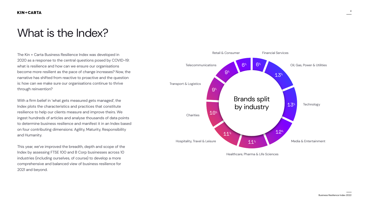### <span id="page-3-0"></span>What is the Index?

4



Healthcare, Pharma & Life Sciences



The Kin + Carta Business Resilience Index was developed in 2020 as a response to the central questions posed by COVID-19: what is resilience and how can we ensure our organisations become more resilient as the pace of change increases? Now, the narrative has shifted from reactive to proactive and the question is: how can we make sure our organisations continue to thrive through reinvention?

With a firm belief in 'what gets measured gets managed', the Index plots the characteristics and practices that constitute resilience to help our clients measure and improve theirs. We ingest hundreds of articles and analyse thousands of data points to determine business resilience and manifest it in an Index based on four contributing dimensions: Agility, Maturity, Responsibility and Humanity.

This year, we've improved the breadth, depth and scope of the Index by assessing FTSE 100 and B Corp businesses across 10 industries (including ourselves, of course) to develop a more comprehensive and balanced view of business resilience for 2021 and beyond.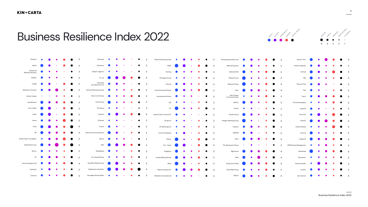

### Business Resilience Index 2022

| 4imprint                                           |                                                                                                                                                                                                                                      |                     |                                                                   |                                                           |                                         |                         | Chesnara                        |                |             |                                            |                                                                                                                                                                                                                                      |             | $\mathcal{D}$           | Hikma Pharmaceuticals                                                                                                |                             |           |                                            |                                                                       |                                                   |                       | Moneysupermarket.com                                                                                                                                                                 |           |                               |                 |                                                             |                          | Severn Trent                                                                                                           |                                    |           |                                   |                                         |  |
|----------------------------------------------------|--------------------------------------------------------------------------------------------------------------------------------------------------------------------------------------------------------------------------------------|---------------------|-------------------------------------------------------------------|-----------------------------------------------------------|-----------------------------------------|-------------------------|---------------------------------|----------------|-------------|--------------------------------------------|--------------------------------------------------------------------------------------------------------------------------------------------------------------------------------------------------------------------------------------|-------------|-------------------------|----------------------------------------------------------------------------------------------------------------------|-----------------------------|-----------|--------------------------------------------|-----------------------------------------------------------------------|---------------------------------------------------|-----------------------|--------------------------------------------------------------------------------------------------------------------------------------------------------------------------------------|-----------|-------------------------------|-----------------|-------------------------------------------------------------|--------------------------|------------------------------------------------------------------------------------------------------------------------|------------------------------------|-----------|-----------------------------------|-----------------------------------------|--|
| abrdn (                                            |                                                                                                                                                                                                                                      | <b>Service</b>      | <b>Contract Contract Contract</b>                                 | <b>Service</b>                                            | $\bullet$ 3                             |                         | <b>Clarksons</b>                |                |             | $\bullet$ $\bullet$ $\bullet$              |                                                                                                                                                                                                                                      | $\bullet$   | $\overline{2}$          | HSBC (                                                                                                               |                             |           | $\bullet$                                  |                                                                       | $\bullet$ $\bullet$ 4                             |                       | <b>National Express</b>                                                                                                                                                              |           |                               | <b>CONTROL</b>  | $\bullet$ 3                                                 |                          | Smith & Nephew                                                                                                         |                                    |           |                                   |                                         |  |
| Advanced<br><b>Medical Solutions</b>               |                                                                                                                                                                                                                                      |                     |                                                                   | <b>Contract Contract Contract Contract</b>                | $\bullet$ 3                             |                         | Clipper Logistics <b>O</b>      |                |             | <b>Contract Contract Contract Contract</b> | <b>Contract Contract Contract</b>                                                                                                                                                                                                    |             | $\bullet$ 2             | Hunting $\bullet$                                                                                                    |                             | $\bullet$ | $\bullet$ and $\bullet$ and $\bullet$      |                                                                       | $\bullet$ $\bullet$ $\bullet$ 3                   |                       | National Grid                                                                                                                                                                        |           | $\bullet$                     |                 |                                                             |                          | Softcat                                                                                                                |                                    |           |                                   |                                         |  |
| <b>AG Barr</b>                                     | <u>and the state of the state of the state of the state of the state of the state of the state of the state of the state of the state of the state of the state of the state of the state of the state of the state of the state</u> | $\bullet$ $\bullet$ |                                                                   | $\bullet$ $\bullet$ 3                                     |                                         |                         | $Co$ -op                        |                |             |                                            | <u>and the state of the sta</u> te of the state of the state of the state of the state of the state of the state of the state of the state of the state of the state of the state of the state of the state of the state of the stat |             | $\bullet$ 4             |                                                                                                                      |                             |           |                                            | $\bullet$ $\bullet$ $\bullet$ $\bullet$ $\bullet$ $\bullet$           |                                                   |                       | National Trust <b>Company</b>                                                                                                                                                        | $\bullet$ |                               |                 | $\bullet$ $\bullet$ $\bullet$ 3                             |                          | SSE <b>DESCRIPTION</b>                                                                                                 |                                    |           |                                   | $\bullet$ $\bullet$ $\bullet$ $\bullet$ |  |
| AJ Bell <b>Company</b>                             |                                                                                                                                                                                                                                      |                     | $\bullet$                                                         | <b>CONTRACTOR</b>                                         | $\bullet$ 3                             |                         | Daily Mail<br>and General Trust |                |             | $\bullet$ $\bullet$                        | <b>Contract Contract Contract Contract</b>                                                                                                                                                                                           |             | $\bullet$ 3             | Informa                                                                                                              |                             |           |                                            |                                                                       | $\bullet$ 3                                       |                       | Natwest Group                                                                                                                                                                        |           |                               |                 | $\bullet$ $\bullet$ $\bullet$ $\bullet$ $\bullet$ $\bullet$ |                          | Telecom Plus                                                                                                           |                                    |           |                                   | $\bullet$ $\bullet$ $\bullet$           |  |
| Alzheimer's Society                                |                                                                                                                                                                                                                                      |                     |                                                                   |                                                           |                                         |                         | Dechra Pharmaceuticals          | <b>Service</b> |             | <b>Simple Street</b>                       |                                                                                                                                                                                                                                      | $\bullet$ 3 |                         | <b>InterContinental Hotels</b>                                                                                       |                             |           |                                            |                                                                       | $\bullet$ 3                                       |                       | Next (                                                                                                                                                                               |           |                               | $\bullet$       | $\bullet$                                                   | $\overline{4}$           | Telit (                                                                                                                |                                    |           | $\bullet$ $\bullet$               | $\bullet$ $\bullet$                     |  |
| Amber Energy                                       |                                                                                                                                                                                                                                      |                     |                                                                   | $\bullet$ $\bullet$ $\bullet$ $\bullet$ $\bullet$ $\circ$ |                                         |                         | Direct Line Group               |                |             | $\bullet$                                  | <u>and the second second</u>                                                                                                                                                                                                         |             | $\bullet$ 3             | <b>International Airlines</b>                                                                                        | <b>Service</b> Construction |           |                                            | $\bullet$ $\bullet$ $\bullet$ $\bullet$ $\bullet$ $\bullet$ $\bullet$ |                                                   |                       | Next Fifteen<br>Communications                                                                                                                                                       |           |                               |                 | $\bullet$ 3                                                 |                          | Tesco                                                                                                                  |                                    |           |                                   | $\bullet$ $\bullet$                     |  |
| AstraZeneca <b>(Cali</b>                           |                                                                                                                                                                                                                                      |                     |                                                                   |                                                           | $\bullet$ 3                             |                         | Drax Group                      |                | $\bullet$ . | $\bullet$ $\bullet$                        |                                                                                                                                                                                                                                      | $\bullet$   | $\overline{\mathbf{3}}$ | IQE <sup>o</sup>                                                                                                     |                             | $\bullet$ | $\bullet$ .                                | $\bullet$                                                             |                                                   | $\bullet$ 2           | NSPCC (                                                                                                                                                                              |           | $\bullet$ $\bullet$ $\bullet$ |                 | $\bullet$ 3                                                 |                          | Thrive Renewables                                                                                                      |                                    |           | $\bullet$ $\bullet$               | $\bullet$ $\bullet$                     |  |
| Auto Trader                                        |                                                                                                                                                                                                                                      |                     |                                                                   | <b>O</b>                                                  | $\bullet$ 3                             |                         | DX Group                        |                |             | $\bullet$ $\bullet$ $\bullet$              |                                                                                                                                                                                                                                      | $\bullet$   | $\overline{\mathbf{2}}$ |                                                                                                                      | <b>ITV</b>                  | $\bullet$ | $\bullet$ $\bullet$                        |                                                                       | $\bullet$ $\bullet$ $\bullet$ $\bullet$ $\bullet$ |                       | Numis <b>O C C C</b>                                                                                                                                                                 |           |                               |                 |                                                             | $\overline{\phantom{a}}$ | Trainline                                                                                                              |                                    | $\bullet$ | <b>Contract Contract Contract</b> | $\bullet$ $\bullet$                     |  |
|                                                    |                                                                                                                                                                                                                                      |                     | Avast <b>Constitution of the Constitution of the Constitution</b> |                                                           | $\bullet$ $\bullet$ $\bullet$ $\circ$   |                         | EasyJet                         |                |             |                                            |                                                                                                                                                                                                                                      |             |                         | James Fisher & Sons PLC <b>Container and Container Container and Container and Container and Container and Conta</b> |                             |           |                                            |                                                                       |                                                   |                       | Ocado Group                                                                                                                                                                          |           |                               |                 | $\bullet$ $\bullet$ 3                                       |                          | Unicef UK                                                                                                              | <u>and the state of the sta</u> te |           |                                   | $\bullet$ $\bullet$ $\bullet$ $\bullet$ |  |
|                                                    |                                                                                                                                                                                                                                      |                     |                                                                   | Aveva $\bullet$ $\bullet$ $\bullet$ $\bullet$ 3           |                                         |                         | EnQuest <b>O</b>                |                |             | $\bullet$ $\bullet$ $\bullet$              |                                                                                                                                                                                                                                      | $\bullet$ 2 |                         | JD Sports                                                                                                            |                             | $\bullet$ | <b>Contract Contract Contract Contract</b> |                                                                       |                                                   | $\bullet$ $\bullet$ 2 | <b>Paragon Banking Group</b>                                                                                                                                                         |           |                               |                 | $\bullet$ $\bullet$ $\bullet$ $\bullet$ $\bullet$ 3         |                          | Unilever (D)                                                                                                           |                                    |           |                                   | $\bullet$ $\bullet$                     |  |
| Aviva                                              |                                                                                                                                                                                                                                      |                     |                                                                   |                                                           |                                         |                         | Future                          |                |             | $\bullet$ $\bullet$                        | $\bullet$ $\bullet$                                                                                                                                                                                                                  |             | $\bullet$ 3             | JD Wetherspoon                                                                                                       |                             |           | <b>Contract Contract Contract</b>          | $\bullet$                                                             | $\bullet$ 2                                       |                       | Pearson                                                                                                                                                                              |           |                               | <b>Security</b> | <b>O</b>                                                    | $\mathbf{R}$             | United Utilities <b>O</b>                                                                                              |                                    |           |                                   |                                         |  |
| BP                                                 |                                                                                                                                                                                                                                      |                     |                                                                   |                                                           | $\bullet$ $\bullet$ $\bullet$ $\bullet$ |                         | Gamma Communications            |                |             |                                            | $\bullet$ $\bullet$ $\bullet$                                                                                                                                                                                                        |             | $\bullet$ 3             | Just Eat Takeaway                                                                                                    | $\bullet$ $\bullet$         |           |                                            |                                                                       | $\bullet$ $\bullet$ 3                             |                       | <b>PROPER</b>                                                                                                                                                                        |           | $\bullet$ $\bullet$ $\bullet$ |                 | $\bullet$ 3                                                 |                          | Vectura <b>Company Company Company Company Company Company Company Company Company Company Company Company Company</b> |                                    |           |                                   |                                         |  |
| British Heart Foundation                           |                                                                                                                                                                                                                                      |                     |                                                                   |                                                           |                                         | $\overline{\mathbf{3}}$ | Genus                           |                |             | $\bullet$                                  |                                                                                                                                                                                                                                      |             | 3 <sup>5</sup>          | Kainos (                                                                                                             |                             |           |                                            |                                                                       |                                                   |                       | RELX                                                                                                                                                                                 |           |                               |                 |                                                             |                          | Vodafone                                                                                                               |                                    |           |                                   |                                         |  |
| British Red Cross <b>Canadian Contract Cross</b> 4 |                                                                                                                                                                                                                                      |                     | <b>Contract Contract Contract Contract</b>                        |                                                           |                                         |                         |                                 |                |             |                                            |                                                                                                                                                                                                                                      |             |                         |                                                                                                                      |                             |           |                                            |                                                                       |                                                   |                       | GSK 8 8 8 4 Kin+Carta 8 8 6 4 The Restaurant Group . 8 6 2 WHEB Asset Management 8 8 8 8                                                                                             |           |                               |                 |                                                             |                          |                                                                                                                        |                                    |           |                                   |                                         |  |
|                                                    |                                                                                                                                                                                                                                      |                     |                                                                   |                                                           |                                         |                         |                                 |                |             |                                            |                                                                                                                                                                                                                                      |             |                         |                                                                                                                      |                             |           |                                            |                                                                       |                                                   |                       | Britvic <b>O</b> O 3 GlobalData O O 3 Kingfisher O O 3 Kingfisher O O 3 Rightmove O 3 Rightmove O 4 Whitbread O O O                                                                  |           |                               |                 |                                                             |                          |                                                                                                                        |                                    |           |                                   |                                         |  |
|                                                    |                                                                                                                                                                                                                                      |                     |                                                                   |                                                           |                                         |                         |                                 |                |             |                                            |                                                                                                                                                                                                                                      |             |                         |                                                                                                                      |                             |           |                                            |                                                                       |                                                   |                       | BT <b>O</b> O 3 Go-Ahead Group O O 3 Lloyds Banking Group O O 3 RNLI O RNLI O O 4 Wincanton O O O                                                                                    |           |                               |                 |                                                             |                          |                                                                                                                        |                                    |           |                                   |                                         |  |
|                                                    |                                                                                                                                                                                                                                      |                     |                                                                   |                                                           |                                         |                         |                                 |                |             |                                            |                                                                                                                                                                                                                                      |             |                         |                                                                                                                      |                             |           |                                            |                                                                       |                                                   |                       | Cancer Research UK <b>O</b> O Q 4 Guardian Media Group O O O 3 M&G O + 0 3 Royal Dutch Shell O O Q 4                                                                                 |           |                               |                 |                                                             |                          | World of Books <b>Orange Community Community</b>                                                                       |                                    |           |                                   |                                         |  |
|                                                    |                                                                                                                                                                                                                                      |                     |                                                                   |                                                           |                                         |                         |                                 |                |             |                                            |                                                                                                                                                                                                                                      |             |                         |                                                                                                                      |                             |           |                                            |                                                                       |                                                   |                       | CareTech $\bullet$ $\bullet$ $\bullet$ 3 Hargreaves Lansdown $\bullet$ 4 Marks and Spencer $\bullet$ 6 4 Royal Mail Group $\bullet$ $\bullet$ $\bullet$ 3 YouGov $\bullet$ $\bullet$ |           |                               |                 |                                                             |                          |                                                                                                                        |                                    |           |                                   |                                         |  |
|                                                    |                                                                                                                                                                                                                                      |                     |                                                                   |                                                           |                                         |                         |                                 |                |             |                                            |                                                                                                                                                                                                                                      |             |                         |                                                                                                                      |                             |           |                                            |                                                                       |                                                   |                       | Centrica <b>O</b> O 3 Harrogate Spring Water O O O 2 Mediclinic International O O O 3 RSPCA O 3 Zen Internet O O O                                                                   |           |                               |                 |                                                             |                          |                                                                                                                        |                                    |           |                                   |                                         |  |

4

3

4

3

3

3

3

3

3





| $\sim$ | $\lambda$<br>$\bullet$ $\bullet$ $\bullet$ | $\sim$ |              | N.<br>$\bullet$ | $\sim$<br>$\bullet$ | ×.<br>$\bullet$ |
|--------|--------------------------------------------|--------|--------------|-----------------|---------------------|-----------------|
|        |                                            |        |              | 5 <sup>5</sup>  | $\overline{4}$      | $\overline{3}$  |
|        |                                            |        |              |                 |                     |                 |
|        |                                            |        |              |                 |                     |                 |
| 3      |                                            |        | Severn Trent |                 |                     |                 |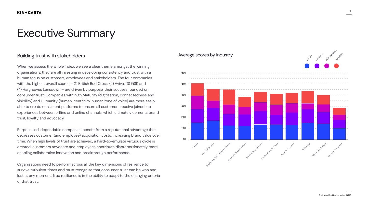6

Business Resilience Index 2022

## <span id="page-5-0"></span>Executive Summary

### Building trust with stakeholders

When we assess the whole Index, we see a clear theme amongst the winning organisations: they are all investing in developing consistency and trust with a human focus on customers, employees and stakeholders. The four companies with the highest overall scores – (1) British Red Cross; (2) Aviva; (3) GSK and (4) Hargreaves Lansdown – are driven by purpose, their success founded on consumer trust. Companies with high Maturity (digitisation, connectedness and visibility) and Humanity (human-centricity, human tone of voice) are more easily able to create consistent platforms to ensure all customers receive joined-up experiences between offline and online channels, which ultimately cements brand trust, loyalty and advocacy.

Purpose-led, dependable companies benefit from a reputational advantage that decreases customer (and employee) acquisition costs, increasing brand value over time. When high levels of trust are achieved, a hard-to-emulate virtuous cycle is created; customers advocate and employees contribute disproportionately more, enabling collaborative innovation and breakthrough performance.

Organisations need to perform across all the key dimensions of resilience to survive turbulent times and must recognise that consumer trust can be won and lost at any moment. True resilience is in the ability to adapt to the changing criteria of that trust.

### Average scores by industry

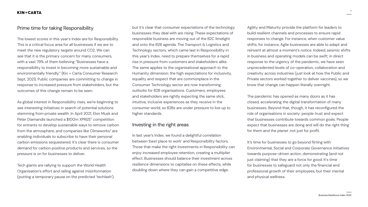7

but it's clear that consumer expectations of the technology businesses they deal with are rising. These expectations of responsible business are moving out of the B2C limelight and onto the B2B agenda. The Transport & Logistics and Technology sectors, which came last in Responsibility in this year's Index, need to prepare themselves for a rapid rise in pressure from customers and stakeholders alike. The same applies to the organisational approach to the Humanity dimension; the high expectations for inclusivity, equality and respect that are commonplace in the Consumer Technology sector are now transforming outlooks for B2B organisations. Customers, employees and stakeholders are rightly expecting the same slick, intuitive, inclusive experiences as they receive in the consumer world, so B2Bs are under pressure to live up to higher standards.

### Investing in the right areas

In last year's Index, we found a delightful correlation between 'best place to work' and Responsibility factors. Those that make the right investments in Responsibility can enjoy increased employee retention, creating a multiplier effect. Businesses should balance their investment across resilience dimensions to capitalise on these effects, while doubling down where they can gain a competitive edge.

### KIN+CARTA

### Prime time for taking Responsibility

The lowest scores in this year's Index are for Responsibility. This is a critical focus area for all businesses if we are to meet the new regulatory targets around CO2. We can see that it is the primary concern for many consumers, with a vast 79% of them believing "Businesses have a responsibility to invest in becoming more sustainable and environmentally friendly." (Kin + Carta Consumer Research Sept, 2021). Public companies are committing to change in response to increased pressure from stakeholders, but the outcomes of this change remain to be seen.

As global interest in Responsibility rises, we're beginning to see interesting initiatives in search of potential solutions stemming from private wealth. In April 2021, Elon Musk and Peter Diamandis launched a \$100m XPRIZE<sup>2</sup> competition for entrants to develop sustainable ways to remove carbon from the atmosphere, and companies like Climeworks<sup>3</sup> are enabling individuals to subscribe to have their personal carbon emissions sequestered. It's clear there is consumer demand for carbon positive products and services, so the pressure is on for businesses to deliver.

Tech giants are rallying to support the World Health Organisation's effort and railing against misinformation (putting a temporary pause on the predicted 'techlash'), Agility and Maturity provide the platform for leaders to build resilient channels and processes to ensure rapid responses to change. For instance, when customer value shifts, for instance, Agile businesses are able to adapt and reinvent at almost a moment's notice. Indeed, seismic shifts in business and operating models can be swift; in direct response to the urgency of the pandemic, we have seen unprecedented levels of co-operation, collaboration and creativity across industries (just look at how the Public and Private sectors worked together to deliver vaccines), so we know that change can happen literally overnight.

The pandemic has opened as many doors as it has closed, accelerating the digital transformation of many businesses. Beyond that, though, it has reconfigured the role of organisations in society: people trust and expect that businesses contribute towards common goals. People expect that businesses are doing and will do the right thing for them and the planet ,not just for profit.

It's time for businesses to go beyond flirting with Environmental, Social and Corporate Governance initiatives towards purpose-driven action, demonstrating (and not just claiming) that they are a force for good. It's time for businesses to safeguard not only the financial and professional growth of their employees, but their mental and physical wellness.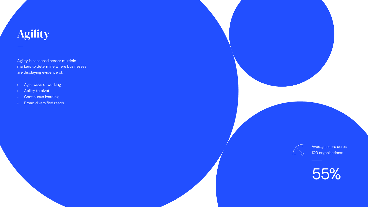Agility is assessed across multiple markers to determine where businesses are displaying evidence of:

- Agile ways of working  $\mathbb{R}^{\mathbb{Z}_2}$
- Ability to pivot  $\mathbb{R}^n$
- Continuous learning  $\mathbb{R}^+$
- **Broad diversified reach**  $\mathbb{R}^+$

 $\sqrt{2}$ 

# <span id="page-7-0"></span>Agility –

Average score across 100 organisations:

55%

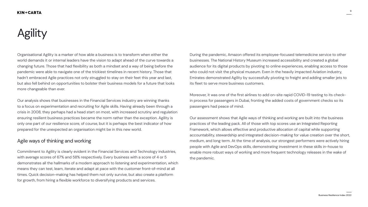# **Agility**



Business Resilience Index 2022

Organisational Agility is a marker of how able a business is to transform when either the world demands it or internal leaders have the vision to adapt ahead of the curve towards a changing future. Those that had flexibility as both a mindset and a way of being before the pandemic were able to navigate one of the trickiest timelines in recent history. Those that hadn't embraced Agile practices not only struggled to stay on their feet this year and last, but also fell behind on opportunities to bolster their business models for a future that looks more changeable than ever.

Our analysis shows that businesses in the Financial Services industry are winning thanks to a focus on experimentation and recruiting for Agile skills. Having already been through a crisis in 2008, they perhaps had a head start on most, with increased scrutiny and regulation ensuring resilient business practices became the norm rather than the exception. Agility is only one part of our resilience score, of course, but it is perhaps the best indicator of how prepared for the unexpected an organisation might be in this new world.

### Agile ways of thinking and working

Commitment to Agility is clearly evident in the Financial Services and Technology industries, with average scores of 67% and 58% respectively. Every business with a score of 4 or 5 demonstrates all the hallmarks of a modern approach to listening and experimentation, which means they can test, learn, iterate and adapt at pace with the customer front-of-mind at all times. Quick decision-making has helped them not only survive, but also create a platform for growth, from hiring a flexible workforce to diversifying products and services.

### During the pandemic, Amazon offered its employee-focused telemedicine service to other businesses. The National History Museum increased accessibility and created a global audience for its digital products by pivoting to online experiences, enabling access to those who could not visit the physical museum. Even in the heavily impacted Aviation industry, Emirates demonstrated Agility by successfully pivoting to freight and adding smaller jets to its fleet to serve more business customers.

Moreover, it was one of the first airlines to add on-site rapid COVID-19 testing to its checkin process for passengers in Dubai, fronting the added costs of government checks so its passengers had peace of mind.

Our assessment shows that Agile ways of thinking and working are built into the business practices of the leading pack. All of those with top scores use an Integrated Reporting Framework, which allows effective and productive allocation of capital while supporting accountability, stewardship and integrated decision-making for value creation over the short, medium, and long term. At the time of analysis, our strongest performers were actively hiring people with Agile and DevOps skills, demonstrating investment in these skills in-house to enable more robust ways of working and more frequent technology releases in the wake of the pandemic.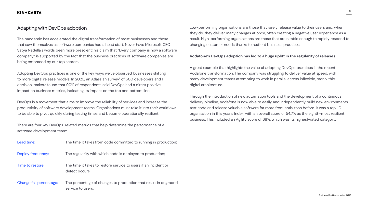

### Adapting with DevOps adoption

The pandemic has accelerated the digital transformation of most businesses and those that saw themselves as software companies had a head start. Never have Microsoft CEO Satya Nadella's words been more prescient; his claim that "Every company is now a software company" is supported by the fact that the business practices of software companies are being embraced by our top scorers.

Adopting DevOps practices is one of the key ways we've observed businesses shifting to more digital release models. In 2020, an Atlassian survey $4$  of 500 developers and IT decision-makers found that 90% of respondents said DevOps had a direct positive impact on business metrics, indicating its impact on the top and bottom line.

There are four key DevOps-related metrics that help determine the performance of a software development team:

| Lead time:              | The time it takes from code committed to running in production;                      |
|-------------------------|--------------------------------------------------------------------------------------|
| Deploy frequency:       | The regularity with which code is deployed to production;                            |
| Time to restore:        | The time it takes to restore service to users if an incident or<br>defect occurs;    |
| Change fail percentage: | The percentage of changes to production that result in degraded<br>service to users. |

Low-performing organisations are those that rarely release value to their users and, when they do, they deliver many changes at once, often creating a negative user experience as a result. High-performing organisations are those that are nimble enough to rapidly respond to changing customer needs thanks to resilient business practices.

DevOps is a movement that aims to improve the reliability of services and increase the productivity of software development teams. Organisations must take it into their workflows to be able to pivot quickly during testing times and become operationally resilient. Through the introduction of new automation tools and the development of a continuous delivery pipeline, Vodafone is now able to easily and independently build new environments, test code and release valuable software far more frequently than before. It was a top-10 organisation in this year's Index, with an overall score of 54.7% as the eighth-most resilient business. This included an Agility score of 68%, which was its highest-rated category.

#### **Vodafone's DevOps adoption has led to a huge uplift in the regularity of releases**

A great example that highlights the value of adopting DevOps practices is the recent Vodafone transformation. The company was struggling to deliver value at speed, with many development teams attempting to work in parallel across inflexible, monolithic digital architecture.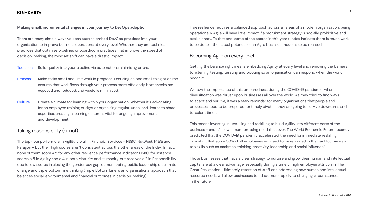11

### KIN+CARTA

#### **Making small, incremental changes in your journey to DevOps adoption**

There are many simple ways you can start to embed DevOps practices into your organisation to improve business operations at every level. Whether they are technical practices that optimise pipelines or boardroom practices that improve the speed of decision-making, the mindset shift can have a drastic impact:

Technical: Build quality into your pipeline via automation, minimising errors.

- Process: Make tasks small and limit work in progress. Focusing on one small thing at a time ensures that work flows through your process more efficiently, bottlenecks are exposed and reduced, and waste is minimised.
- Culture: Create a climate for learning within your organisation. Whether it's advocating for an employee training budget or organising regular lunch-and-learns to share expertise, creating a learning culture is vital for ongoing improvement and development.

### Taking responsibility (or not)

The top-four performers in Agility are all in Financial Services - HSBC, NatWest, M&G and Paragon - but their high scores aren't consistent across the other areas of the Index. In fact, none of them score a 5 for any other resilience performance indicator. HSBC, for instance, scores a 5 in Agility and a 4 in both Maturity and Humanity, but receives a 2 in Responsibility due to low scores in closing the gender pay gap, demonstrating public leadership on climate change and triple bottom line thinking (Triple Bottom Line is an organisational approach that balances social, environmental and financial outcomes in decision-making). top skills such as analytical thinking, creativity, leadership and social influence<sup>5</sup>. Those businesses that have a clear strategy to nurture and grow their human and intellectual capital are at a clear advantage, especially during a time of high employee attrition in 'The Great Resignation'. Ultimately, retention of staff and addressing new human and intellectual resource needs will allow businesses to adapt more rapidly to changing circumstances in the future.

True resilience requires a balanced approach across all areas of a modern organisation; being operationally Agile will have little impact if a recruitment strategy is socially prohibitive and exclusionary. To that end, some of the scores in this year's Index indicate there is much work to be done if the actual potential of an Agile business model is to be realised.

### Becoming Agile on every level

Getting the balance right means embedding Agility at every level and removing the barriers to listening, testing, iterating and pivoting so an organisation can respond when the world needs it.

We saw the importance of this preparedness during the COVID-19 pandemic, when diversification was thrust upon businesses all over the world. As they tried to find ways to adapt and survive, it was a stark reminder for many organisations that people and processes need to be prepared for timely pivots if they are going to survive downturns and turbulent times.

This means investing in upskilling and reskilling to build Agility into different parts of the business - and it's now a more pressing need than ever. The World Economic Forum recently predicted that the COVID-19 pandemic accelerated the need for immediate reskilling, indicating that some 50% of all employees will need to be retrained in the next four years in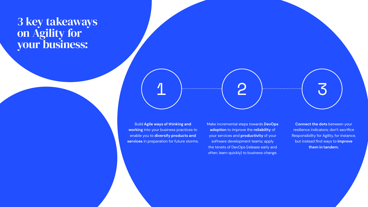### 3 key takeaways on Agility for your business:

1 2 3

Build **Agile ways of thinking and working** into your business practices to enable you to **diversify products and services** in preparation for future storms. Make incremental steps towards **DevOps adoption** to improve the **reliability** of your services and **productivity** of your software development teams; apply the tenets of DevOps (release early and often, learn quickly) to business change.

**Connect the dots** between your resilience indicators; don't sacrifice Responsibility for Agility, for instance, but instead find ways to **improve them in tandem.**

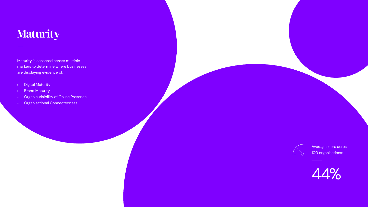Maturity is assessed across multiple markers to determine where businesses are displaying evidence of:

- Digital Maturity  $\mathbb{R}^{\mathbb{Z}^{\times}}$
- Brand Maturity  $\mathbb{R}^+$
- Organic Visibility of Online Presence  $\triangleright$
- Organisational Connectedness  $\mathbb{R}^+$



Average score across 100 organisations:

# <span id="page-12-0"></span>Maturity –

44%

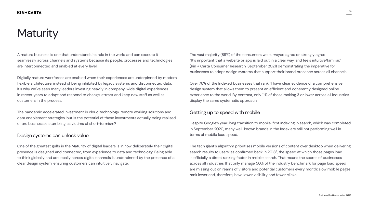# **Maturity**



A mature business is one that understands its role in the world and can execute it seamlessly across channels and systems because its people, processes and technologies are interconnected and enabled at every level.

Digitally mature workforces are enabled when their experiences are underpinned by modern, flexible architecture, instead of being inhibited by legacy systems and disconnected data. It's why we've seen many leaders investing heavily in company-wide digital experiences in recent years to adapt and respond to change, attract and keep new staff as well as customers in the process.

The pandemic accelerated investment in cloud technology, remote working solutions and data enablement strategies, but is the potential of these investments actually being realised or are businesses stumbling as victims of short-termism?

### Design systems can unlock value

The vast majority (89%) of the consumers we surveyed agree or strongly agree "It's important that a website or app is laid out in a clear way, and feels intuitive/familiar," (Kin + Carta Consumer Research, September 2021) demonstrating the imperative for businesses to adopt design systems that support their brand presence across all channels.

Over 76% of the Indexed businesses that rank 4 have clear evidence of a comprehensive design system that allows them to present an efficient and coherently designed online experience to the world. By contrast, only 11% of those ranking 3 or lower across all industries display the same systematic approach.

One of the greatest gulfs in the Maturity of digital leaders is in how deliberately their digital presence is designed and connected, from experience to data and technology. Being able to think globally and act locally across digital channels is underpinned by the presence of a clear design system, ensuring customers can intuitively navigate. The tech giant's algorithm prioritises mobile versions of content over desktop when delivering search results to users; as confirmed back in 20186, the speed at which those pages load is officially a direct ranking factor in mobile search. That means the scores of businesses across all industries that only manage 50% of the industry benchmark for page load speed are missing out on reams of visitors and potential customers every month; slow mobile pages rank lower and, therefore, have lower visibility and fewer clicks.

### Getting up to speed with mobile

Despite Google's year-long transition to mobile-first indexing in search, which was completed in September 2020, many well-known brands in the Index are still not performing well in terms of mobile load speed.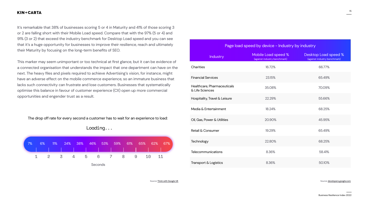

It's remarkable that 38% of businesses scoring 5 or 4 in Maturity and 41% of those scoring 3 or 2 are falling short with their Mobile Load speed. Compare that with the 97% (5 or 4) and 91% (3 or 2) that exceed the industry benchmark for Desktop Load speed and you can see that it's a huge opportunity for businesses to improve their resilience, reach and ultimately their Maturity by focusing on the long-term benefits of SEO.

This marker may seem unimportant or too technical at first glance, but it can be evidence of a connected organisation that understands the impact that one department can have on the next. The heavy files and pixels required to achieve Advertising's vision, for instance, might have an adverse effect on the mobile commerce experience, so an immature business that lacks such connectivity can frustrate and lose customers. Businesses that systematically optimise this balance in favour of customer experience (CX) open up more commercial opportunities and engender trust as a result.

Loading...



The drop off rate for every second a customer has to wait for an experience to load:

| Page load speed by device - Industry by industry |                                                     |                                                             |  |  |  |  |  |  |  |
|--------------------------------------------------|-----------------------------------------------------|-------------------------------------------------------------|--|--|--|--|--|--|--|
| <b>Industry</b>                                  | Mobile Load speed %<br>(against industry benchmark) | <b>Desktop Load speed %</b><br>(against industry benchmark) |  |  |  |  |  |  |  |
| <b>Charities</b>                                 | 16.72%                                              | 66.77%                                                      |  |  |  |  |  |  |  |
| <b>Financial Services</b>                        | 23.15%                                              | 65.49%                                                      |  |  |  |  |  |  |  |
| Healthcare, Pharmaceuticals<br>& Life Sciences   | 35.08%                                              | 70.09%                                                      |  |  |  |  |  |  |  |
| <b>Hospitality, Travel &amp; Leisure</b>         | 22.29%                                              | 55.66%                                                      |  |  |  |  |  |  |  |
| Media & Entertainment                            | 18.24%                                              | 68.25%                                                      |  |  |  |  |  |  |  |
| Oil, Gas, Power & Utilities                      | 20.90%                                              | 45.95%                                                      |  |  |  |  |  |  |  |
| Retail & Consumer                                | 19.29%                                              | 65.49%                                                      |  |  |  |  |  |  |  |
| Technology                                       | 22.80%                                              | 68.25%                                                      |  |  |  |  |  |  |  |
| <b>Telecommunications</b>                        | 8.36%                                               | 58.41%                                                      |  |  |  |  |  |  |  |
| <b>Transport &amp; Logistics</b>                 | 8.36%                                               | 50.10%                                                      |  |  |  |  |  |  |  |

Source: [Think with Google UK](https://www.thinkwithgoogle.com/intl/en-gb/marketing-strategies/app-and-mobile/mobile-page-speed-new-industry-benchmarks/) Source: developers.google.com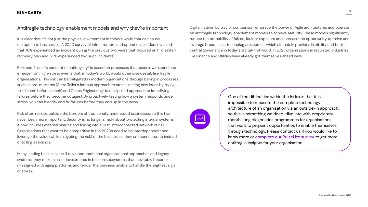16







It is clear that it's not just the physical environment in today's world that can cause disruption to businesses. A 2020 survey of infrastructure and operations leaders revealed that 76% experienced an incident during the previous two years that required an IT disasterrecovery plan and 50% experienced two such incidents<sup>7</sup>.

### **KIN+CARTA**

### Antifragile technology enablement models and why they're important

Bertrand Russell's concept of antifragility<sup>8</sup> is based on processes that absorb, withstand and emerge from high-stress events that, in today's world, would otherwise destabilise fragile organisations. This risk can be mitigated in modern organisations through baking in processes such as pre-mortems (Astro Teller's famous approach to stress-testing new ideas by trying to kill them before launch) and Chaos Engineering<sup>9</sup> (a disciplined approach to identifying failures before they become outages). By proactively testing how a system responds under stress, you can identify and fix failures before they end up in the news.

Risk often resides outside the borders of traditionally understood businesses, so this has never been more important. Security is no longer simply about protecting internal systems; it now includes external sharing and linking into a vast, interconnected network of risk. Organisations that want to be competitive in the 2020s need to be interdependent and leverage the value (while mitigating the risk) of the businesses they are connected to instead of acting as islands.

Many leading businesses still rely upon traditional organisational approaches and legacy systems; they make smaller investments in bolt-on subsystems that inevitably become misaligned with aging platforms and render the business unable to handle the slightest sign of stress.

Digital natives, by way of comparison, embrace the power of Agile architectures and operate on antifragile technology enablement models to achieve Maturity. These models significantly reduce the probability of failure, fault or exposure and increase the opportunity to thrive and leverage broader-set technology resources, which ultimately provides flexibility and better central governance in today's digital-first world. In 2021, organisations in regulated industries like Finance and Utilities have already got themselves ahead here.



One of the difficulties within the Index is that it is impossible to measure the complete technology architecture of an organisation via an outside-in approach, so this is something we deep-dive into with proprietary month-long diagnostics programmes for organisations that want to pinpoint opportunities to enable themselves through technology. Please contact us if you would like to know more or **[complete our PulseLite survey](https://pulsesurvey.kinandcarta.com/s3/pulselite)** to get more antifragile insights for your organisation.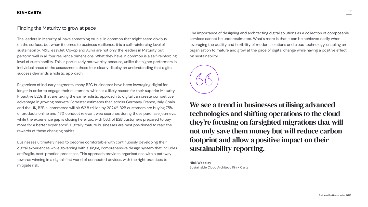

### Finding the Maturity to grow at pace

The leaders in Maturity all have something crucial in common that might seem obvious on the surface, but when it comes to business resilience, it is a self-reinforcing level of sustainability. M&S, easyJet, Co-op and Aviva are not only the leaders in Maturity but perform well in all four resilience dimensions. What they have in common is a self-reinforcing level of sustainability. This is particularly noteworthy because, unlike the higher performers in individual areas of the assessment, these four clearly display an understanding that digital success demands a holistic approach.

Regardless of industry segments, many B2C businesses have been leveraging digital for longer in order to engage their customers, which is a likely reason for their superior Maturity. Proactive B2Bs that are taking the same holistic approach to digital can create competitive advantage in growing markets; Forrester estimates that, across Germany, France, Italy, Spain and the UK, B2B e-commerce will hit €2.8 trillion by 2024<sup>10</sup>. B2B customers are buying 75% of products online and 47% conduct relevant web searches during those purchase journeys, while the experience gap is closing here, too, with 56% of B2B customers prepared to pay more for a better experience<sup>11</sup>. Digitally mature businesses are best positioned to reap the rewards of these changing habits.

We see a trend in businesses utilising advanced technologies and shifting operations to the cloud they're focusing on farsighted migrations that will not only save them money but will reduce carbon footprint and allow a positive impact on their sustainability reporting.

Businesses ultimately need to become comfortable with continuously developing their digital experiences while governing with a single, comprehensive design system that includes antifragile, best-practice processes. This approach provides organisations with a pathway towards winning in a digital-first world of connected devices, with the right practices to mitigate risk.

The importance of designing and architecting digital solutions as a collection of composable services cannot be underestimated. What's more is that it can be achieved easily when leveraging the quality and flexibility of modern solutions and cloud technology, enabling an organisation to mature and grow at the pace of digital change while having a positive effect on sustainability.

**Nick Woodley** Sustainable Cloud Architect, Kin + Carta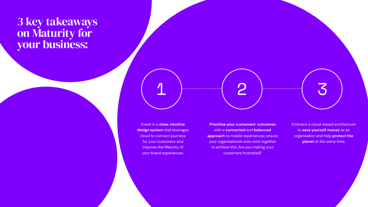### 3 key takeaways on Maturity for your business:



Invest in a **clear, intuitive design system** that leverages cloud to connect journeys for your customers and improve the Maturity of your brand experiences.

**Prioritise your customers' outcomes** with a **connected** and **balanced approach** to mobile experiences; ensure your organisational units work together to achieve this. Are you making your customers frustrated?

Embrace a cloud-based architecture to **save yourself money** as an organisation and help **protect the planet** at the same time.

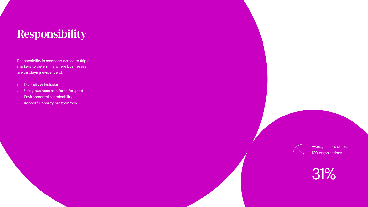Responsibility is assessed across multiple markers to determine where businesses are displaying evidence of:

- Diversity & Inclusion  $\mathbb{R}^+$
- $\triangleright$  Using business as a force for good
- Environmental sustainability  $\mathbb{R}^+$
- Impactful charity programmes  $\mathbb{R}^+$



# <span id="page-18-0"></span>Responsibility –

Average score across 100 organisations:

# 31%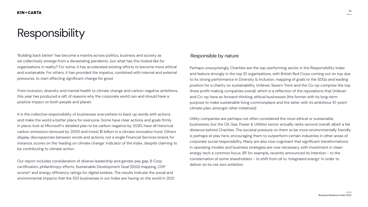

# Responsibility

'Building back better' has become a mantra across politics, business and society as we collectively emerge from a devastating pandemic, but what has this looked like for organisations in reality? For some, it has accelerated existing efforts to become more ethical and sustainable. For others, it has provided the impetus, combined with internal and external pressures, to start effecting significant change for good.

From inclusion, diversity and mental health to climate change and carbon negative ambitions, this year has produced a raft of reasons why the corporate world can and should have a positive impact on both people and planet.

It is the collective responsibility of businesses everywhere to back up words with actions and make the world a better place for everyone. Some have clear actions and goals firmly in place; look at Microsoft's detailed plan to be carbon negative by 2030, have all historical carbon emissions removed by 2050 and invest \$1 billion in a climate innovation fund. Others display discrepancies between words and actions; not a single Financial Services brand, for instance, scores on the 'leading on climate change' indicator of the Index, despite claiming to be contributing to climate action.

Our report includes consideration of diverse leadership and gender pay gap, B Corp certification, philanthropy efforts, Sustainable Development Goal (SDG) mapping, CDP scores<sup>12</sup> and energy efficiency ratings for digital estates. The results indicate the social and environmental impacts that the 100 businesses in our Index are having on the world in 2021

### .Responsible by nature

- Perhaps unsurprisingly, Charities are the top-performing sector in the Responsibility Index and feature strongly in the top 10 organisations, with British Red Cross coming out on top due to its strong performance in Diversity & Inclusion, mapping of goals to the SDGs and leading position for a charity on sustainability. Unilever, Severn Trent and the Co-op comprise the top three profit-making companies overall, which is a reflection of the reputations that Unilever and Co-op have as forward-thinking, ethical businesses (the former with its long-term purpose to make sustainable living commonplace and the latter with its ambitious 10-point climate plan, amongst other initiatives).
- Utility companies are perhaps not often considered the most ethical or sustainable businesses, but the Oil, Gas, Power & Utilities sector actually ranks second overall, albeit a fair distance behind Charities. The societal pressure on them to be more environmentally friendly is perhaps at play here, encouraging them to outperform certain industries in other areas of corporate social responsibility. Many are also now cognisant that significant transformations in operating models and business strategies are now necessary, with investment in clean energy tech a common focus. BP, for example, recently announced its intention - to the consternation of some shareholders - to shift from oil to 'integrated energy' in order to deliver on its net zero ambition.
-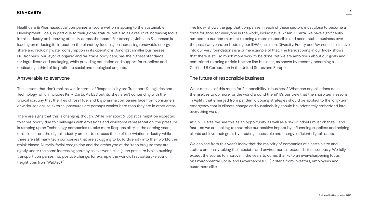

### Answerable to everyone

The sectors that don't rank as well in terms of Responsibility are Transport & Logistics and Technology, which includes Kin + Carta. As B2B outfits, they aren't contending with the typical scrutiny that the likes of fossil fuel and big pharma companies face from consumers or wider society, so external pressures are perhaps weaker here than they are in other areas.

### **KIN+CARTA**

Healthcare & Pharmaceutical companies all score well on mapping to the Sustainable Development Goals, in part due to their global stature, but also as a result of increasing focus in this industry on behaving ethically across the board. For example, Johnson & Johnson is leading on reducing its impact on the planet by focusing on increasing renewable energy share and reducing water consumption in its operations. Amongst smaller businesses, Dr. Bronner's, purveyor of organic and fair trade body care, has the highest standards for ingredients and packaging, while providing education and support for suppliers and dedicating a third of its profits to social and ecological projects. The Index shows the gap that companies in each of these sectors must close to become a force for good for everyone in the world, including us. At Kin + Carta, we have significantly ramped up our commitment to being a more responsible and accountable business over the past two years; embedding our IDEA (Inclusion, Diversity, Equity and Awareness) initiative into our very foundations is a prime example of that. The frank scoring in our Index shows that there is still so much more work to be done. Yet we are ambitious about our goals and committed to being a triple bottom line business, as shown by recently becoming a Certified B Corporation in the United States and Europe.

There are signs that this is changing, though. While Transport & Logistics might be expected to score poorly due to challenges with emissions and workforce representation, the pressure is ramping up on Technology companies to take more Responsibility. In the coming years, emissions from the digital industry are set to surpass those of the Aviation industry, while there are still many tech companies that are struggling to build diversity into their workforces (think biased AI, racial facial recognition and the archetype of the 'tech bro'), so they are rightly under the same increasing scrutiny as everyone else (such pressure is also pushing transport companies into positive change, for example the world's first battery-electric freight train from Wabtec).<sup>13</sup> At Kin + Carta, we see this as an opportunity as well as a risk. Mindsets must change - and fast - so we are looking to maximise our positive impact by influencing suppliers and helping clients achieve their goals by creating accessible and energy-efficient digital assets. We can see from this year's Index that the majority of companies of a certain size and stature are finally taking their societal and environmental responsibilities seriously. We fully expect the scores to improve in the years to come, thanks to an ever-sharpening focus on Environmental, Social and Governance (ESG) criteria from investors, employees and customers alike.

### The future of responsible business

What does all of this mean for Responsibility in business? What can organisations do in themselves to do more for the world around them? It's our view that the short-term lessons in Agility that emerged from pandemic coping strategies should be applied to the long-term emergency that is climate change and sustainability should be indefinitely embedded into everything we do.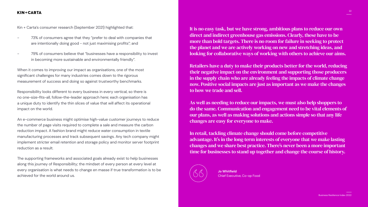

Kin + Carta's consumer research (September 2021) highlighted that:

- 73% of consumers agree that they "prefer to deal with companies that are intentionally doing good - not just maximising profits"; and
- 79% of consumers believe that "businesses have a responsibility to invest in becoming more sustainable and environmentally friendly".

When it comes to improving our impact as organisations, one of the most significant challenges for many industries comes down to the rigorous measurement of success and doing so against trustworthy benchmarks.

Responsibility looks different to every business in every vertical, so there is no one-size-fits-all, follow-the-leader approach here; each organisation has a unique duty to identify the thin slices of value that will affect its operational impact on the world.

An e-commerce business might optimise high-value customer journeys to reduce the number of page visits required to complete a sale and measure the carbon reduction impact. A fashion brand might reduce water consumption in textile manufacturing processes and track subsequent savings. Any tech company might implement stricter email retention and storage policy and monitor server footprint reduction as a result.

The supporting frameworks and associated goals already exist to help businesses along this journey of Responsibility; the mindset of every person at every level at every organisation is what needs to change en masse if true transformation is to be achieved for the world around us.

It is no easy task, but we have strong, ambitious plans to reduce our own direct and indirect greenhouse gas emissions. Clearly, these have to be more than bold targets. There is no room for failure in seeking to protect the planet and we are actively working on new and stretching ideas, and looking for collaborative ways of working with others to achieve our aims.

Retailers have a duty to make their products better for the world, reducing their negative impact on the environment and supporting those producers in the supply chain who are already feeling the impacts of climate change now. Positive social impacts are just as important as we make the changes to how we trade and sell.

As well as needing to reduce our impacts, we must also help shoppers to do the same. Communication and engagement need to be vital elements of our plans, as well as making solutions and actions simple so that any life changes are easy for everyone to make.

In retail, tackling climate change should come before competitive advantage. It's in the long-term interests of everyone that we make lasting changes and we share best practice. There's never been a more important time for businesses to stand up together and change the course of history.



**Jo Whitfield** Chief Executive, Co-op Food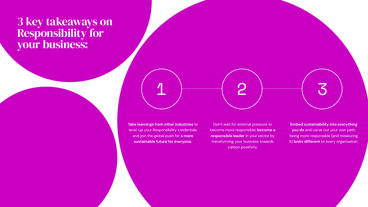### 3 key takeaways on Responsibility for your business:



**Take learnings from other industries** to level-up your Responsibility credentials and join the global push for a **more sustainable future for everyone.**

Don't wait for external pressure to become more responsible; **become a responsible leader** in your sector by transforming your business towards carbon positivity.

**Embed sustainability into everything** 

**you do** and carve out your own path; being more responsible (and measuring it) **looks different** to every organisation.

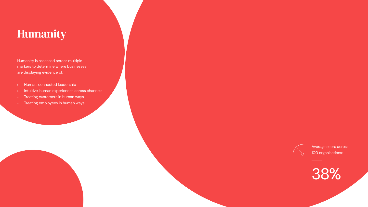Humanity is assessed across multiple markers to determine where businesses are displaying evidence of:

### <span id="page-23-0"></span>Humanity –

- Human, connected leadership
- $\triangleright$  Intuitive, human experiences across channels
- Treating customers in human ways
- Treating employees in human ways



Average score across 100 organisations:

38%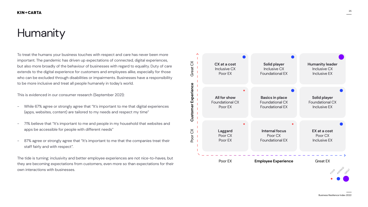# Humanity

To treat the humans your business touches with respect and care has never been more important. The pandemic has driven up expectations of connected, digital experiences, but also more broadly of the behaviour of businesses with regard to equality. Duty of care extends to the digital experience for customers and employees alike, especially for those who can be excluded through disabilities or impairments. Businesses have a responsibility to be more inclusive and treat all people humanely in today's world.

- While 67% agree or strongly agree that "It's important to me that digital experiences (apps, websites, content) are tailored to my needs and respect my time"
- 71% believe that "It's important to me and people in my household that websites and apps be accessible for people with different needs"
- 87% agree or strongly agree that "It's important to me that the companies treat their staff fairly and with respect".  $\frac{1}{\sqrt{2}}$

The tide is turning; inclusivity and better employee experiences are not nice-to-haves, but they are becoming expectations from customers, even more so than expectations for their own interactions with businesses. -h<br>pn

This is evidenced in our consumer research (September 2021):

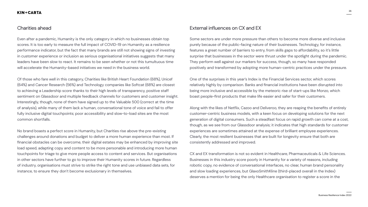

### Charities ahead

Even after a pandemic, Humanity is the only category in which no businesses obtain top scores. It is too early to measure the full impact of COVID-19 on Humanity as a resilience performance indicator, but the fact that many brands are still not showing signs of investing in customer experience or inclusion as serious organisational initiatives suggests that many leaders have been slow to react. It remains to be seen whether or not this tumultuous time will accelerate the Humanity-based initiatives we need in the business world. Some sectors are under more pressure than others to become more diverse and inclusive purely because of the public-facing nature of their businesses. Technology, for instance, features a great number of barriers to entry, from skills gaps to affordability, so it's little surprise that businesses in the sector were thrust under the spotlight during the pandemic. They perform well against our markers for success, though, so many have responded positively and transformed by adopting more human-centric practices under the pressure.

Of those who fare well in this category, Charities like British Heart Foundation (68%), Unicef (64%) and Cancer Research (56%) and Technology companies like Softcat (68%) are closest to achieving a Leadership score thanks to their high levels of transparency, positive staff sentiment on Glassdoor and multiple feedback channels for customers and customer insight. Interestingly, though, none of them have signed up to the Valuable 500 (correct at the time of analysis), while many of them lack a human, conversational tone of voice and fail to offer fully inclusive digital touchpoints; poor accessibility and slow-to-load sites are the most common shortfalls. One of the surprises in this year's Index is the Financial Services sector, which scores relatively highly by comparison. Banks and financial institutions have been disrupted into being more inclusive and accessible by the meteoric rise of start-ups like Monzo, which boast people-first products that make life easier and safer for their customers.

### External influences on CX and EX

No brand boasts a perfect score in Humanity, but Charities rise above the pre-existing challenges around donations and budget to deliver a more human experience than most. If financial obstacles can be overcome, their digital estates may be enhanced by improving site load speed, adapting copy and content to be more personable and introducing more human touchpoints for triage to give more people access to content and services. But organisations in other sectors have further to go to improve their Humanity scores in future. Regardless of industry, organisations must strive to strike the right tone and use unbiased data sets, for instance, to ensure they don't become exclusionary in themselves. Clearly, the most resilient businesses that are built for longevity ensure that both are consistently addressed and improved. CX and EX transformation is not so evident in Healthcare, Pharmaceuticals & Life Sciences. Businesses in this industry score poorly in Humanity for a variety of reasons, including robotic copy, no evidence of conversational interfaces, no clear, human brand personality and slow loading experiences, but GlaxoSmithKline (third-placed overall in the Index) deserves a mention for being the only Healthcare organisation to register a score in the

Along with the likes of Netflix, Cazoo and Deliveroo, they are reaping the benefits of entirely customer-centric business models, with a keen focus on developing solutions for the next generation of digital consumers. Such a steadfast focus on rapid growth can come at a cost, though, as we see from our Glassdoor analysis; it indicates that high standards for customer experiences are sometimes attained at the expense of brilliant employee experiences.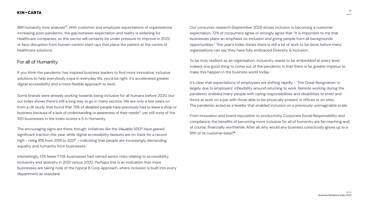

IBM humanity tone analyser<sup>16</sup>. With customer and employee expectations of organisations increasing post-pandemic, the gap between expectation and reality is widening for Healthcare companies, so this sector will certainly be under pressure to improve in 2022 or face disruption from human-centric start-ups that place the patient at the centre of healthcare solutions.

### For all of Humanity

If you think the pandemic has inspired business leaders to find more innovative, inclusive solutions to help everybody cope in everyday life, you'd be right; it's accelerated greater digital accessibility and a more flexible approach to work.

The encouraging signs are there, though; initiatives like the Valuable 500<sup>16</sup> have gained significant traction this year, while digital accessibility lawsuits are on track for a record high - rising 81% from 2018 to 2021<sup>17</sup> - indicating that people are increasingly demanding equality and humanity from businesses.

Some brands were already working towards being inclusive for all humans before 2020, but our Index shows there's still a long way to go in many sectors. We are only a few years on from a UK study that found that 75% of disabled people have previously had to leave a shop or business because of a lack of understanding or awareness of their needs<sup>15</sup>, yet still none of the 100 businesses in the Index scores a 5 in Humanity.

It's clear that expectations of employees are shifting rapidly - 'The Great Resignation' is largely due to employers' inflexibility around returning to work. Remote working during the pandemic enabled many people with caring responsibilities and disabilities to enter and thrive at work on a par with those able to be physically present in offices or on sites. The pandemic acted as a leveller that enabled inclusion on a previously unimaginable scale.

From innovation and brand reputation to productivity, Corporate Social Responsibility and compliance, the benefits of becoming more inclusive for all of humanity are far-reaching and, of course, financially worthwhile. After all, why would any business consciously ignore up to a fifth of its customer base?<sup>18</sup>

Interestingly, 13% fewer FTSE businesses had named senior roles relating to accessibility, inclusivity and diversity in 2021 versus 2020. Perhaps this is an indication that more businesses are taking note of the typical B Corp approach, where inclusion is built into every department as standard.

Our consumer research (September 2021) shows inclusion is becoming a customer expectation; 72% of consumers agree or strongly agree that "It is important to me that businesses place an emphasis on inclusion and giving people from all backgrounds opportunities." This year's Index shows there is still a lot of work to be done before many organisations can say they have fully embraced Diversity & Inclusion.

To be truly resilient as an organisation, inclusivity needs to be embedded at every level; indeed, one good thing to come out of the pandemic is that there is far greater impetus to make this happen in the business world today.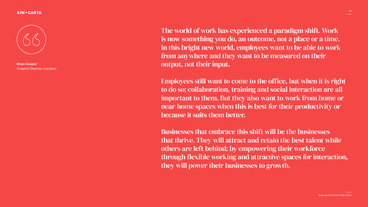

The world of work has experienced a paradigm shift. Work is now something you do, an outcome, not a place or a time. In this bright new world, employees want to be able to work from anywhere and they want to be measured on their output, not their input. Employees still want to come to the office, but when it is right to do so; collaboration, training and social interaction are all important to them. But they also want to work from home or near-home spaces when this is best for their productivity or because it suits them better.

Businesses that embrace this shift will be the businesses that thrive. They will attract and retain the best talent while others are left behind; by empowering their workforce through flexible working and attractive spaces for interaction, they will power their businesses to growth.

#### **KIN+CARTA**



**Brian Cooper** Creative Director, Condeco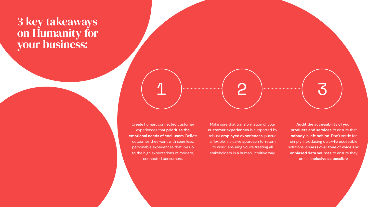

Create human, connected customer experiences that **prioritise the emotional needs of end-users**. Deliver outcomes they want with seamless, personable experiences that live up to the high expectations of modern, connected consumers.

Make sure that transformation of your **customer experiences** is supported by robust **employee experiences**; pursue a flexible, inclusive approach to 'return to work', ensuring you're treating all stakeholders in a human, intuitive way.

**Audit the accessibility of your products and services** to ensure that **nobody is left behind**. Don't settle for simply introducing quick-fix accessible solutions; **obsess over tone of voice and unbiased data sources** to ensure they are as **inclusive as possible**.

### 3 key takeaways on Humanity for your business: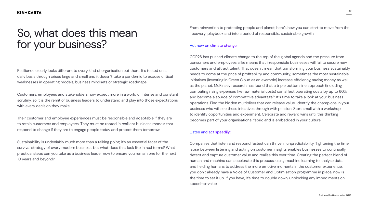

### <span id="page-29-0"></span>So, what does this mean for your business?

Resilience clearly looks different to every kind of organisation out there. It's tested on a daily basis through crises large and small and it doesn't take a pandemic to expose critical weaknesses in operating models, business mindsets or strategic roadmaps.

Customers, employees and stakeholders now expect more in a world of intense and constant scrutiny, so it is the remit of business leaders to understand and play into those expectations with every decision they make.

Their customer and employee experiences must be responsible and adaptable if they are to retain customers and employees. They must be rooted in resilient business models that respond to change if they are to engage people today and protect them tomorrow.

From reinvention to protecting people and planet, here's how you can start to move from the 'recovery' playbook and into a period of responsible, sustainable growth:

#### Act now on climate change:

COP26 has pushed climate change to the top of the global agenda and the pressure from consumers and employees alike means that irresponsible businesses will fail to secure new customers and attract talent. That doesn't mean that transforming your business sustainably needs to come at the price of profitability and community; sometimes the most sustainable initiatives (investing in Green Cloud as an example) increase efficiency, saving money as well as the planet. McKinsey research has found that a triple bottom line approach (including combating rising expenses like raw material costs) can affect operating costs by up to 60% and become a source of competitive advantage<sup>19</sup>. It's time to take a look at your business operations. Find the hidden multipliers that can release value. Identify the champions in your business who will see these initiatives through with passion. Start small with a workshop to identify opportunities and experiment. Celebrate and reward wins until this thinking becomes part of your organisational fabric and is embedded in your culture.

Sustainability is undeniably much more than a talking point; it's an essential facet of the survival strategy of every modern business, but what does that look like in real terms? What practical steps can you take as a business leader now to ensure you remain one for the next 10 years and beyond? Companies that listen and respond fastest can thrive in unpredictability. Tightening the time lapse between listening and acting on customer insights enables businesses to continually detect and capture customer value and realise this over time. Creating the perfect blend of human and machine can accelerate this process, using machine learning to analyse data, and fielding humans to address the more emotive moments in the customer experience. If you don't already have a Voice of Customer and Optimisation programme in place, now is the time to set it up. If you have, it's time to double down, unblocking any impediments on speed-to-value.

#### Listen and act speedily: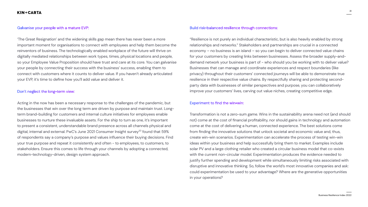

#### Galvanise your people with a mature EVP:

'The Great Resignation' and the widening skills gap mean there has never been a more important moment for organisations to connect with employees and help them become the reinventors of business. The technologically enabled workplace of the future will thrive on digitally mediated relationships between work types, times, physical locations and people, so your Employee Value Proposition should have trust and care at its core. You can galvanise your people by connecting their success with the business' success, enabling them to connect with customers where it counts to deliver value. If you haven't already articulated your EVP, it's time to define how you'll add value and deliver it.

#### Don't neglect the long-term view:

Acting in the now has been a necessary response to the challenges of the pandemic, but the businesses that win over the long term are driven by purpose and maintain trust. Longterm brand-building for customers and internal culture initiatives for employees enable businesses to nurture these invaluable assets. For the ship to turn as one, it's important to present a consistent, understandable brand presence across all channels physical and digital, internal and external. PwC's June 2021 Consumer Insight survey<sup>20</sup> found that 59% of respondents say a company's purpose and values influence their buying decisions. Find your true purpose and repeat it consistently and often - to employees, to customers, to stakeholders. Ensure this comes to life through your channels by adopting a connected, modern-technology-driven, design system approach.

#### Build risk-balanced resilience through connections:

"Resilience is not purely an individual characteristic, but is also heavily enabled by strong relationships and networks." Stakeholders and partnerships are crucial in a connected economy – no business is an island – so you can begin to deliver connected value chains for your customers by creating links between businesses. Assess the broader supply-anddemand network your business is part of - who should you be working with to deliver value? Businesses that can manage and coordinate experiences and respect boundaries (like privacy) throughout their customers' connected journeys will be able to demonstrate true resilience in their respective value chains. By respectfully sharing and protecting secondparty data with businesses of similar perspectives and purpose, you can collaboratively improve your customers' lives, carving out value niches, creating competitive edge.

#### Experiment to find the win-win:

Transformation is not a zero-sum game. Wins in the sustainability arena need not (and should not) come at the cost of financial profitability, nor should gains in technology and automation come at the cost of delivering a human, connected experience. The best solutions come from finding the innovative solutions that unlock societal and economic value and, thus, create win-win scenarios. Experimentation can accelerate the process of testing win-win ideas within your business and help successfully bring them to market. Examples include solar PV and a large clothing retailer who created a circular business model that co-exists with the current non-circular model. Experimentation produces the evidence needed to justify further spending and development while simultaneously limiting risks associated with disruptive and innovative thinking. So, follow the world's most innovative companies and ask: could experimentation be used to your advantage? Where are the generative opportunities in your operations?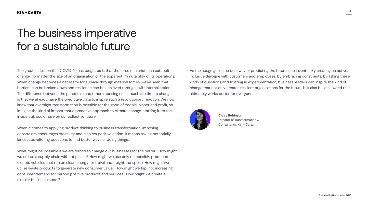32



The greatest lesson that COVID-19 has taught us is that the force of a crisis can catapult change, no matter the size of an organisation or the apparent immutability of its operations. When change becomes a necessity for survival through external forces, we've seen that barriers can be broken down and resilience can be achieved through swift internal action. The difference between the pandemic and other imposing crises, such as climate change, is that we already have the predictive data to inspire such a revolutionary reaction. We now know that overnight transformation is possible for the good of people, planet and profit, so imagine the kind of impact that a proactive approach to climate change, starting from the inside out, could have on our collective future.

When it comes to applying product thinking to business transformation, imposing constraints encourages creativity and inspires positive action. It means asking potentially landscape-altering questions to find better ways of doing things.

What might be possible if we are forced to change our businesses for the better? How might we create a supply chain without plastic? How might we use only responsibly produced electric vehicles that run on clean energy for travel and freight transport? How might we utilise waste products to generate new consumer value? How might we tap into increasing consumer demand for carbon positive products and services? How might we create a circular business model?

As the adage goes, the best way of predicting the future is to invent it. By creating an active, inclusive dialogue with customers and employees, by embracing constraints, by asking these kinds of questions and trusting in experimentation, business leaders can inspire the kind of change that not only creates resilient organisations for the future, but also builds a world that ultimately works better for everyone.



#### <span id="page-31-0"></span>**KIN+CARTA**

# The business imperative for a sustainable future

**[Claire Robinson](mailto:claire.robinson%40kinandcarta.com?subject=BRIX%202021)** Director of Transformation & Consultancy, Kin + Carta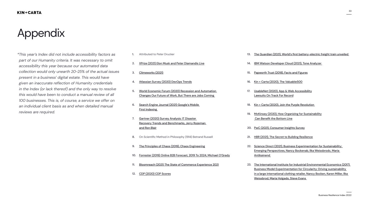



*\*This year's Index did not include accessibility factors as part of our Humanity criteria. It was necessary to omit accessibility this year because our automated data collection would only unearth 20-25% of the actual issues present in a business' digital estate. This would have given an inaccurate reflection of Humanity credentials in the Index (or lack thereof) and the only way to resolve this would have been to conduct a manual review of all 100 businesses. This is, of course, a service we offer on an individual client basis as and when detailed manual reviews are required.*

# <span id="page-32-0"></span>Appendix

**5.** [World Economic Forum \(2020\) Recession and Automation](https://www.weforum.org/press/2020/10/recession-and-automation-changes-our-future-of-work-but-there-are-jobs-coming-report-says-52c5162fce/)  [Changes Our Future of Work, But There are Jobs Coming](https://www.weforum.org/press/2020/10/recession-and-automation-changes-our-future-of-work-but-there-are-jobs-coming-report-says-52c5162fce/) 

- **1.** Attributed to Peter Drucker
- **2.** [XPrize \(2021\) Elon Musk and Peter Diamandis Live](https://www.youtube.com/watch?v=BN88HPUm6j0&ab_channel=XPRIZE)
- **3.** [Climeworks \(2021\)](https://climeworks.com/)
- **4.** [Atlassian Survey \(2020\) DevOps Trends](https://www.atlassian.com/whitepapers/devops-survey-2020)
- 
- **6.** [Search Engine Journal \(2021\) Google's Mobile](https://www.searchenginejournal.com/google-mobile-first-indexing/346170/)  **First Indexing**
- **7.** [Gartner \(2020\) Survey Analysis: IT Disaster](https://www.gartner.com/en/documents/3986808/market-guide-for-disaster-recovery-as-a-service)  [Recovery Trends and Benchmarks, Jerry Rozeman](https://www.gartner.com/en/documents/3986808/market-guide-for-disaster-recovery-as-a-service)  [and Ron Blair](https://www.gartner.com/en/documents/3986808/market-guide-for-disaster-recovery-as-a-service)
- **8.** On Scientific Method in Philosophy (1914) Betrand Russell
- **9.** [The Principles of Chaos \(2019\), Chaos Engineering](https://principlesofchaos.org/)
- 
- 
- **12.** [CDP \(2020\) CDP Scores](https://www.cdp.net/en/scores)

**10.** [Forrester \(2019\) Online B2B Forecast, 2019 To 2024, Michael O'Grady](https://www.forrester.com/report/Forrester-Analytics-Online-B2B-Forecast-2019-To-2024-EU5/RES156078)

**11.** [Bloomreach \(2021\) The State of Commerce Experience 2021](https://visit.bloomreach.com/state-of-commerce-experience)

- **13.** The Guardian (2021), World's first [battery-electric](https://www.theguardian.com/us-news/2021/sep/16/battery-electric-freight-train-wabtec-rail-transport-emissions) freight train unveiled
- **14.** [IBM Watson Developer Cloud \(2021\), Tone Analyzer](https://tone-analyzer-demo.ng.bluemix.net/)
- **15.** [Papworth Trust \(2018\), Facts and Figures](https://www.papworthtrust.org.uk/about-us/publications/papworth-trust-disability-facts-and-figures-2018.pdf)
- **16.** [Kin + Carta \(2020\), The Valuable500](https://www.kinandcarta.com/en/insights/2020/12/kin-and-carta-joins-the-valuable-500/)
- **17.** [UsableNet \(2020\), App & Web Accessibility](https://blog.usablenet.com/midyear-report-app-and-web-accessibility-lawsuits-on-track-for-record) [Lawsuits On Track For Record](https://blog.usablenet.com/midyear-report-app-and-web-accessibility-lawsuits-on-track-for-record)
- **18.** [Kin + Carta \(2020\), Join the Purple Revolution](https://www.kinandcarta.com/en/insights/2020/11/join-the-purple-revolution/ )
- **19.** [McKinsey \(2020\), How Organizing for Sustainability](https://www.mckinsey.com/~/media/McKinsey/Business%20Functions/Sustainability/Our%20Insights/Profits%20with%20purpose/Profits%20with%20Purpose.ashx) Can Benefit the [Bottom](https://www.mckinsey.com/~/media/McKinsey/Business%20Functions/Sustainability/Our%20Insights/Profits%20with%20purpose/Profits%20with%20Purpose.ashx) Line
- **20.** [PwC \(2021\), Consumer Insights Survey](https://www.pwc.com/gx/en/industries/consumer-markets/consumer-insights-survey.html)
- **21.** [HBR \(2021\), The Secret to Building Resilience](https://hbr.org/2021/01/the-secret-to-building-resilience)
- **22.** [Science Direct \(2021\), Business Experimentation for Sustainability:](https://www.sciencedirect.com/science/article/abs/pii/S0959652620349489?via%3Dihub)  [Emerging Perspectives, Nancy Bockenab, Ilka Weissbrodc, Maria](https://www.sciencedirect.com/science/article/abs/pii/S0959652620349489?via%3Dihub)  **Antikainend**
- **23.** [The International Institute for Industrial Environmental Economics \(2017\)](https://portal.research.lu.se/en/publications/business-model-experimentation-for-circularity-driving-sustainabi)  [Business Model Experimentation for Circularity: Driving sustainability](https://portal.research.lu.se/en/publications/business-model-experimentation-for-circularity-driving-sustainabi)  [in a large international clothing retailer, Nancy Bocken, Karen Miller, Ilka](https://portal.research.lu.se/en/publications/business-model-experimentation-for-circularity-driving-sustainabi)  [Weissbrod, Maria Holgado, Steve Evans](https://portal.research.lu.se/en/publications/business-model-experimentation-for-circularity-driving-sustainabi)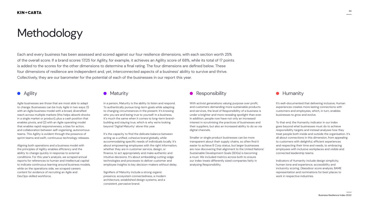34



Each and every business has been assessed and scored against our four resilience dimensions, with each section worth 25% of the overall score. If a brand scores 17/25 for Agility, for example, it achieves an Agility score of 68%, while its total of 17 points is added to the scores for the other dimensions to determine a final rating. The four dimensions are defined below. These four dimensions of resilience are independent and, yet, interconnected aspects of a business' ability to survive and thrive. Collectively, they are our barometer for the potential of each of the businesses in our report this year.

#### **KIN+CARTA**

# Methodology

Agile businesses are those that are most able to adapt to change. Businesses can be truly Agile in two ways: (1) with an Agile business model with a broad, diversified reach across multiple markets (this helps absorb shocks in a single market or product), plus a cash position that enables pivots, and (2) with an Agile operating model that enables rapid responsiveness, a bias for action, and collaboration between self-organising, autonomous teams. This Agility is evident through the presence of sprint teams and swift, continuous technology releases.

Aligning both operations and a business model with the principles of Agility enables efficiency and the ability to change quickly in response to external conditions. For this year's analysis, we scraped annual reports for references to human and intellectual capital to indicate continuous learning around business models, while on the operations side, we scraped careers content for evidence of recruiting an Agile and DevOps-skilled workforce.

In a person, Maturity is the ability to listen and respond. To authentically pursue long-term goals while adapting to changing circumstances in the present. It's knowing who you are and being true to yourself. In a business, it's much the same when it comes to long-term brandbuilding and staying true, which is why we're looking beyond 'Digital Maturity' alone this year.

It's the capacity to find the delicate balance between acting as a unified, cohesive brand globally, while accommodating specific needs of individuals locally. It's about empowering employees with the right information, whether they are in customer service, design, or finance, to act appropriately and make authentic and intuitive decisions. It's about embedding cutting-edge technologies and processes to deliver customer and employee insights to key decision-makers without delay.

Signifiers of Maturity include a strong organic presence, ecosystem connectedness, a modern architecture, established design systems, and a consistent, pervasive brand.

### • Agility • Maturity • Maturity • Responsibility • Responsibility • Humanity

With activist generations valuing purpose over profit, and customers demanding more sustainable products and services, the level of Responsibility of a business is under a brighter and more revealing spotlight than ever. In addition, people now have not only an increased interest in scrutinising the practices of businesses and their suppliers, but also an increased ability to do so via digital channels.

Smaller or single product businesses can be more transparent about their supply chains, so often find it easier to achieve B Corp status, but larger businesses are now discovering that alignment to the United Nations' Sustainable Development Goals (SDGs) is becoming a must. We included metrics across both to ensure our index treats differently sized companies fairly in analysing Responsibility.

It's well-documented that delivering inclusive, Human experiences creates more lasting connections with customers and employees, which, in turn, enables businesses to grow and evolve.

To that end, the Humanity indicator in our Index goes beyond what businesses must do to achieve responsibility targets and instead analyses how they treat people both inside and outside the organisation. It's all about connections in this dimension, from appealing to customers with delightful, efficient experiences and respecting their time and needs, to embracing employees with inclusive workplaces and visible and connected leadership teams.

Indicators of Humanity include design simplicity, human tone and experience, accessibility and inclusivity scoring, Glassdoor score analysis, BAME representation and nominations for best places to work in respective industries.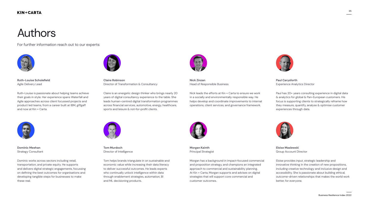

# Authors



**Ruth-Louise Scholefield** Agile Delivery Lead

[Ruth-Louise is passionate about helping teams achieve](mailto:Ruth.Schofield%40kinandcarta.com?subject=BRIX%202021)  their goals in style. Her experience spans Waterfall and Agile approaches across client focussed projects and product led teams, from a career built at IBM, giffgaff and now at Kin + Carta.



**Claire Robinson** Director of Transformation & Consultancy

Claire is an energetic design thinker who brings nearly 20 years of digital consultancy experience to the table. She [leads human-centred digital transformation programmes](mailto:claire.robinson%40kinandcarta.com?subject=BRIX%2021)  across financial services, automotive, energy, healthcare, sports and leisure & not-for-profit clients.



**Nick Zinzan** Head of Responsible Business

Nick leads the efforts at Kin + Carta to ensure we work in a socially and environmentally responsible way. He [helps develop and coordinate improvements to internal](mailto:nick.zinzan%40kinandcarta.com?subject=BRIX%2021)  operations, client services, and governance framework.



**Paul Carysforth** Experience Analytics Director

[Paul has 20+ years consulting experience in digital data](mailto:mailto:paul.carysforth%40kinandcarta.com?subject=BRIX%2021)  & analytics for global & Pan-European customers. His focus is supporting clients to strategically reframe how they measure, quantify, analyse & optimise customer experiences through data.



**Dominic Meehan** Strategy Consultant

Dominic works across sectors including retail, transportation, and private equity. He supports [and delivers digital strategic engagements, focussing](mailto:dominic.meehan%40kinandcarta.com?subject=BRIX%2021)  on defining the best outcomes for organisations and developing tangible steps for businesses to make these real.



**Tom Murdoch** Director of Intelligence

[Tom helps brands triangulate in on sustainable and](mailto:tom.murdoch%40kinandcarta.com?subject=BRIX%2021)  economic value while increasing their data literacy to deliver successful outcomes. He leads experts who continually unlock intelligence within data through enablement strategies, automation, BI and ML decisioning products.



**Morgan Kainth** Principal Strategist

[Morgan has a background in impact-focused commercial](mailto:morgan.kainth%40kinandcarta.com?subject=BRIX%2021)  and proposition strategy, and champions an integrated approach to commercial and sustainability planning. At Kin + Carta, Morgan supports and advises on digital strategies that will support core commercial and customer outcomes.



**Eloise Maslewski** Group Account Director

Eloise provides input, strategic leadership and innovative thinking in the creation of new propositions, including creative technology and inclusive design and accessibility. She is passionate about building ethical, [outcome-driven relationships that makes the world work](mailto:Eloise.Maslewski%40kinandcarta.com?subject=BRIX%2021)  better, for everyone.

For further information reach out to our experts: